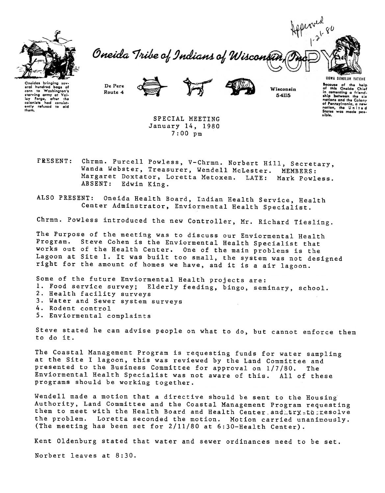

Hepionen 80 Oneida Tribe of Indians of Wisconsin

Oneidas bringing sev. oral hundrod bogs of corn 10 Washington's starving army at Val-<br>Ioy Forgo, after the colonists had consist<br>ently refused to aid<br>them.

De Pere Route 4



Wisconsin 54115

**UGWA DEHOLUH YATEHE** Because of the help<br>of this Oneida Chief<br>in comenting a friend-<br>ship between the six<br>notions and the Colony<br>of Pennsylvan and the Colony of Pennsylvania, a new nation, the United<br>States was made pos-<br>sible.

SPECIAL MEETING January 14, 1980 7:00 pm

Chrmn. Purcell Powless, V-Chrmn. Norbert Hill, Secretary, **FRESENT:** Wanda Webster, Treasurer, Wendell Mclester. MEMBERS: Margaret Doxtator, Loretta Metoxen. LATE: Mark Powless. ABSENT: Edwin King.

ALSO PRESENT: Oneida Health Board, Indian Health Service, Health Center Adminstrator, Enviormental Health Specialist.

Chrmn. Powless introduced the new Controller, Mr. Richard Tiesling.

The Purpose of the meeting was to discuss our Enviormental Health Program. Steve Cohen is the Enviormental Health Specialist that works out of the Health Center. One of the main problems is the Lagoon at Site 1. It was built too small, the system was not designed right for the amount of homes we have, and it is a air lagoon.

Some of the future Enviormental Health projects are: 1. Food service survey; Elderly feeding, bingo, seminary, school. 2. Health facility surveys 3. Water and Sewer system surveys 4. Rodent control

Enviormental complaints

Steve stated he can advise people on what to do, but cannot enforce them to do it.

The Coastal Management Program is requesting funds for water sampling at the Site I lagoon, this was reviewed by the Land Committee and presented to the Business Committee for approval on 1/7/80. The Enviormental Health Specialist was not aware of this. All of these programs should be working together.

Wendell made a motion that a directive should be sent to the Housing Authority, Land Committee and the Coastal Management Program requesting them to meet with the Health Board and Health Center and try to resolve the problem. Loretta seconded the motion. Motion carried unanimously. (The meeting has been set for 2/11/80 at 6:30-Health Center).

Kent Oldenburg stated that water and sewer ordinances need to be set.

Norbert leaves at 8:30.